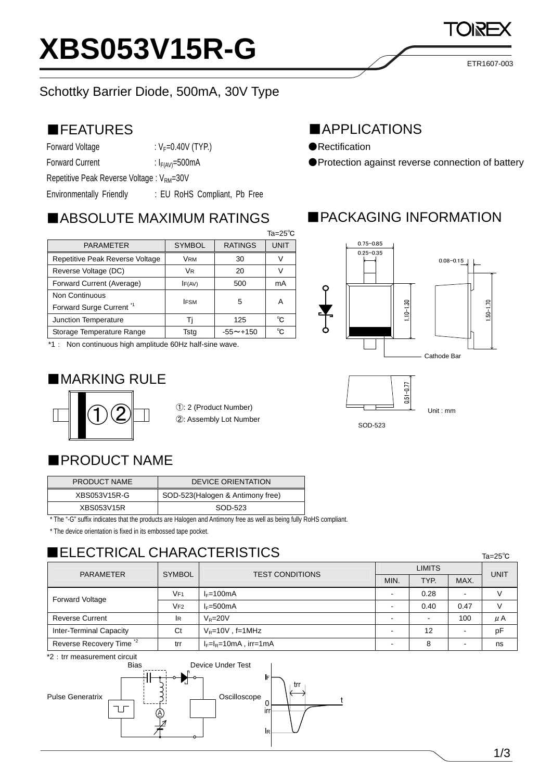

#### ■FEATURES

Forward Voltage  $V_F=0.40V$  (TYP.)

Forward Current :  $I_{F(AV)} = 500mA$ 

Repetitive Peak Reverse Voltage : V<sub>RM</sub>=30V

Environmentally Friendly : EU RoHS Compliant, Pb Free

### ■ABSOLUTE MAXIMUM RATINGS

|                                     |                |                 | $Ta = 25^\circ C$ |  |
|-------------------------------------|----------------|-----------------|-------------------|--|
| <b>PARAMETER</b>                    | <b>SYMBOL</b>  | <b>RATINGS</b>  | <b>UNIT</b>       |  |
| Repetitive Peak Reverse Voltage     | <b>VRM</b>     | 30              |                   |  |
| Reverse Voltage (DC)                | V <sub>R</sub> | 20              |                   |  |
| Forward Current (Average)           | IF(AV)         | 500             | mA                |  |
| Non Continuous                      | <b>IFSM</b>    | 5               | А                 |  |
| Forward Surge Current <sup>*1</sup> |                |                 |                   |  |
| Junction Temperature                |                | 125             | °C.               |  |
| Storage Temperature Range           | Tsta           | $-55 \sim +150$ | °∩                |  |

\*1: Non continuous high amplitude 60Hz half-sine wave.

## ■MARKING RULE



①: 2 (Product Number) ②: Assembly Lot Number

# ■PRODUCT NAME

| PRODUCT NAME | <b>DEVICE ORIENTATION</b>        |  |  |
|--------------|----------------------------------|--|--|
| XBS053V15R-G | SOD-523(Halogen & Antimony free) |  |  |
| XBS053V15R   | SOD-523                          |  |  |

\* The "-G" suffix indicates that the products are Halogen and Antimony free as well as being fully RoHS compliant.

\* The device orientation is fixed in its embossed tape pocket.

# ■ELECTRICAL CHARACTERISTICS

| <b>PARAMETER</b>                    | <b>SYMBOL</b> | <b>TEST CONDITIONS</b>   | <b>LIMITS</b> |      |      | <b>UNIT</b> |
|-------------------------------------|---------------|--------------------------|---------------|------|------|-------------|
|                                     |               |                          | MIN.          | TYP. | MAX. |             |
| <b>Forward Voltage</b>              | VF1           | $I_F=100mA$              |               | 0.28 |      |             |
|                                     | VF2           | $I_F = 500mA$            |               | 0.40 | 0.47 |             |
| <b>Reverse Current</b>              | <b>IR</b>     | $V_{\rm P} = 20V$        |               |      | 100  | μA          |
| <b>Inter-Terminal Capacity</b>      | Ct            | $V_R = 10V$ , f=1MHz     |               | 12   |      | рF          |
| Reverse Recovery Time <sup>*2</sup> | trr           | $I_F=I_R=10mA$ , irr=1mA |               |      |      | ns          |

\*2:trr measurement circuit



## ■APPLICATIONS

- ●Rectification
- ●Protection against reverse connection of battery

## ■PACKAGING INFORMATION





SOD-523

Ta=25℃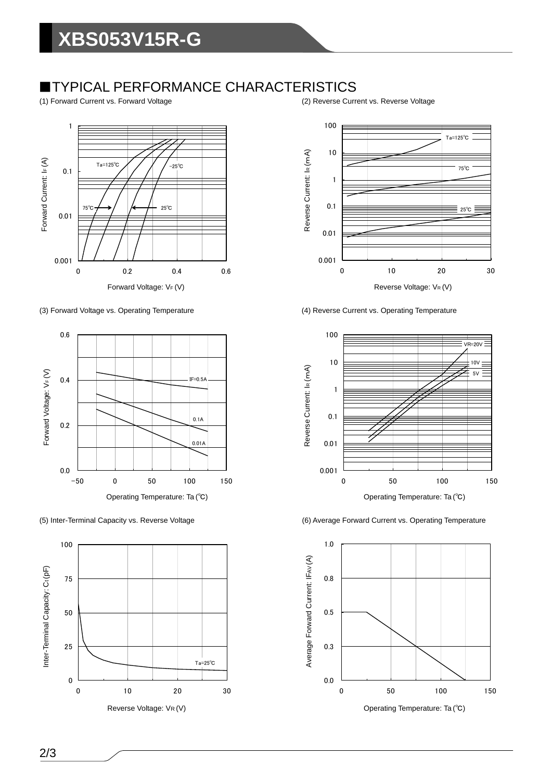### ■TYPICAL PERFORMANCE CHARACTERISTICS

(1) Forward Current vs. Forward Voltage (2) Reverse Current vs. Reverse Voltage









(3) Forward Voltage vs. Operating Temperature (4) Reverse Current vs. Operating Temperature



(5) Inter-Terminal Capacity vs. Reverse Voltage (6) Average Forward Current vs. Operating Temperature